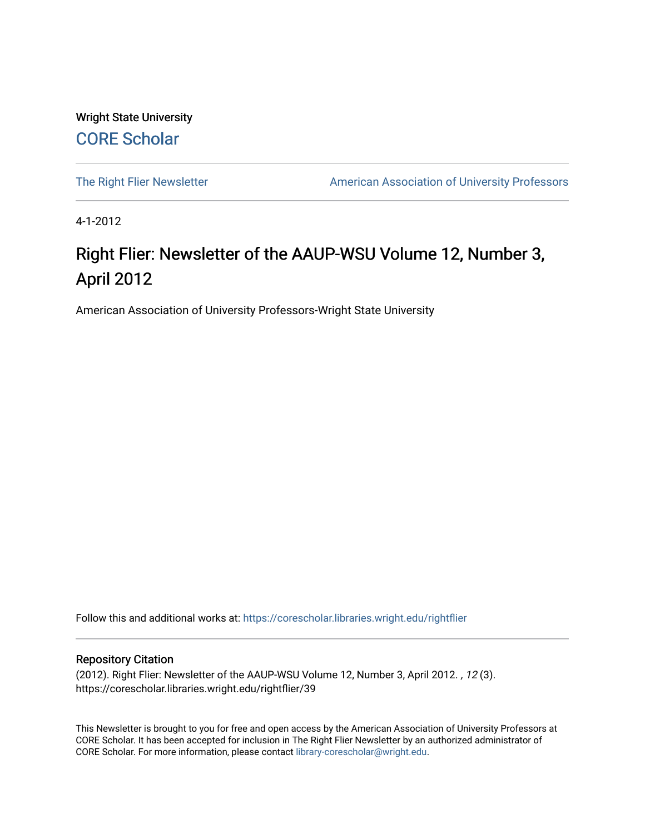Wright State University [CORE Scholar](https://corescholar.libraries.wright.edu/)

[The Right Flier Newsletter](https://corescholar.libraries.wright.edu/rightflier) **American Association of University Professors** 

4-1-2012

## Right Flier: Newsletter of the AAUP-WSU Volume 12, Number 3, April 2012

American Association of University Professors-Wright State University

Follow this and additional works at: [https://corescholar.libraries.wright.edu/rightflier](https://corescholar.libraries.wright.edu/rightflier?utm_source=corescholar.libraries.wright.edu%2Frightflier%2F39&utm_medium=PDF&utm_campaign=PDFCoverPages) 

#### Repository Citation

(2012). Right Flier: Newsletter of the AAUP-WSU Volume 12, Number 3, April 2012. , 12 (3). https://corescholar.libraries.wright.edu/rightflier/39

This Newsletter is brought to you for free and open access by the American Association of University Professors at CORE Scholar. It has been accepted for inclusion in The Right Flier Newsletter by an authorized administrator of CORE Scholar. For more information, please contact [library-corescholar@wright.edu](mailto:library-corescholar@wright.edu).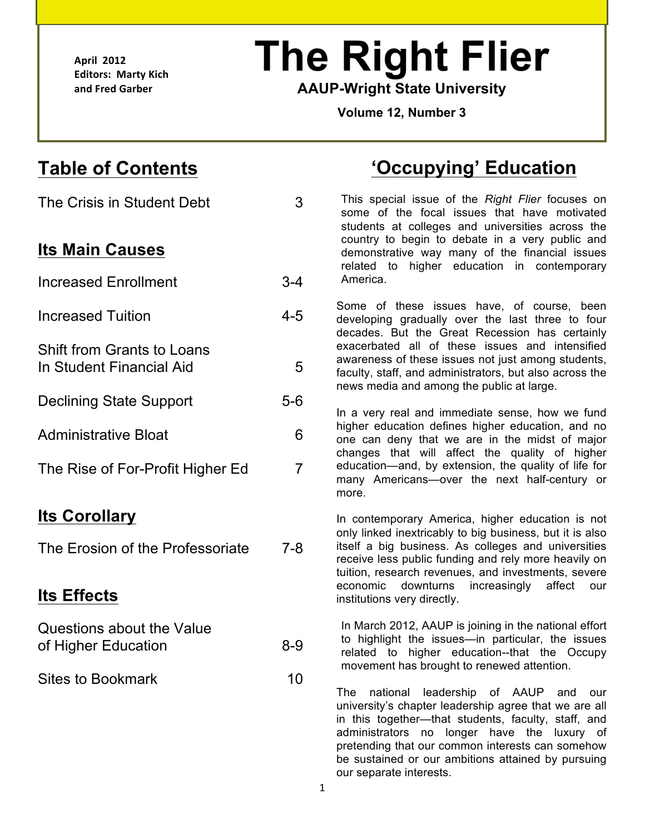**April& 2012 Editors: Marty Kich** and Fred Garber

L

# **The Right Flier**

 **AAUP-Wright State University** 

 **Volume 12, Number 3** 

# **Table of Contents**

 The Crisis in Student Debt Shift from Grants to Loans In Student Financial Aid Declining State Support Questions about the Value of Higher Education **Its Main Causes**  Increased Enrollment Increased Tuition Administrative Bloat The Rise of For-Profit Higher Ed **Its Corollary**  The Erosion of the Professoriate **Its Effects**  5-6

 Sites to Bookmark 10

# **'Occupying' Education**

 3 This special issue of the *Right Flier* focuses on some of the focal issues that have motivated country to begin to debate in a very public and demonstrative way many of the financial issues related to higher education in contemporary students at colleges and universities across the 3-4 America.

Some of these issues have, of course, been<br>4-5 developing gradually over the last three to four developing gradually over the last three to four decades. But the Great Recession has certainly exacerbated all of these issues and intensified **5** awareness of these issues not just among students,<br>5 **and the staff and administrators** but also across the faculty, staff, and administrators, but also across the news media and among the public at large.

 In a very real and immediate sense, how we fund  $6$  higher education defines higher education, and no<br> $6$  one can deny that we are in the midst of major one can deny that we are in the midst of major changes that will affect the quality of higher 7 education—and, by extension, the quality of life for many Americans—over the next half-century or more.

 In contemporary America, higher education is not only linked inextricably to big business, but it is also 7-8 itself a big business. As colleges and universities receive less public funding and rely more heavily on economic downturns increasingly affect our tuition, research revenues, and investments, severe institutions very directly.

 In March 2012, AAUP is joining in the national effort  $8-9$  to highlight the issues—in particular, the issues<br>related to bigher education—that the Occupy related to higher education--that the Occupy movement has brought to renewed attention.

> The national leadership of AAUP and our university's chapter leadership agree that we are all in this together—that students, faculty, staff, and administrators no longer have the luxury of pretending that our common interests can somehow be sustained or our ambitions attained by pursuing our separate interests.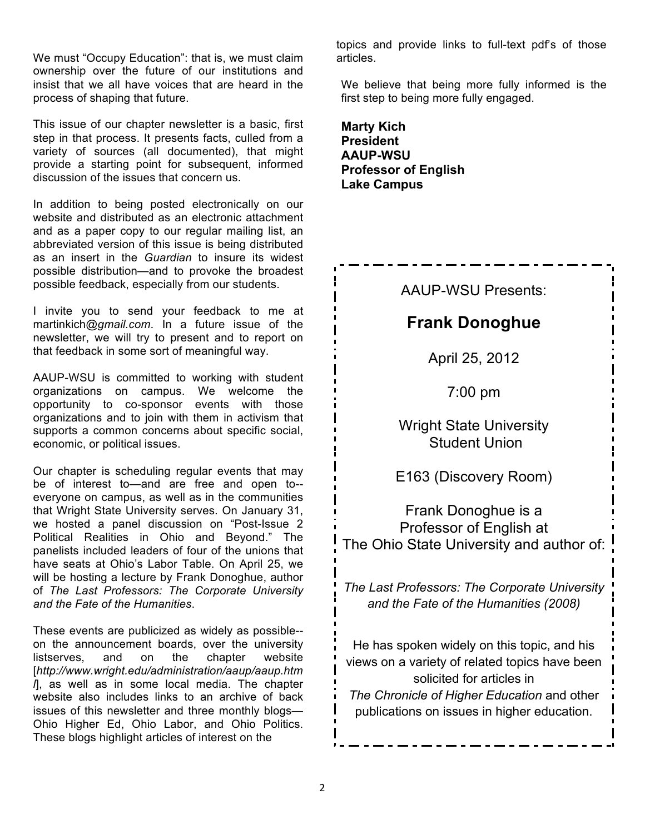We must "Occupy Education": that is, we must claim ownership over the future of our institutions and insist that we all have voices that are heard in the process of shaping that future.

 This issue of our chapter newsletter is a basic, first step in that process. It presents facts, culled from a variety of sources (all documented), that might provide a starting point for subsequent, informed discussion of the issues that concern us.

 In addition to being posted electronically on our website and distributed as an electronic attachment and as a paper copy to our regular mailing list, an abbreviated version of this issue is being distributed as an insert in the *Guardian* to insure its widest possible feedback, especially from our students. possible distribution—and to provoke the broadest

 I invite you to send your feedback to me at martinkich*@gmail.com*. In a future issue of the newsletter, we will try to present and to report on that feedback in some sort of meaningful way.

 AAUP-WSU is committed to working with student organizations and to join with them in activism that supports a common concerns about specific social, economic, or political issues. organizations on campus. We welcome the opportunity to co-sponsor events with those

 Our chapter is scheduling regular events that may be of interest to—and are free and open to-- everyone on campus, as well as in the communities that Wright State University serves. On January 31, we hosted a panel discussion on "Post-Issue 2 Political Realities in Ohio and Beyond." The panelists included leaders of four of the unions that have seats at Ohio's Labor Table. On April 25, we will be hosting a lecture by Frank Donoghue, author  of *The Last Professors: The Corporate University and the Fate of the Humanities*.

 These events are publicized as widely as possible-- on the announcement boards, over the university *l*], as well as in some local media. The chapter website also includes links to an archive of back issues of this newsletter and three monthly blogs— Ohio Higher Ed, Ohio Labor, and Ohio Politics. These blogs highlight articles of interest on the listserves, and on the chapter website [*http://www.wright.edu/administration/aaup/aaup.htm* 

 topics and provide links to full-text pdf's of those articles.

 We believe that being more fully informed is the first step to being more fully engaged.

**Marty Kich President AAUP-WSU Professor of English Lake Campus** 

### AAUP-WSU Presents:

### **Frank Donoghue**

April 25, 2012

7:00 pm

 Wright State University Student Union

E163 (Discovery Room)

 Professor of English at Frank Donoghue is a The Ohio State University and author of:  $\frac{1}{\sqrt{2}}$ 

 *The Last Professors: The Corporate University and the Fate of the Humanities (2008)* 

 He has spoken widely on this topic, and his views on a variety of related topics have been  *The Chronicle of Higher Education* and other publications on issues in higher education. solicited for articles in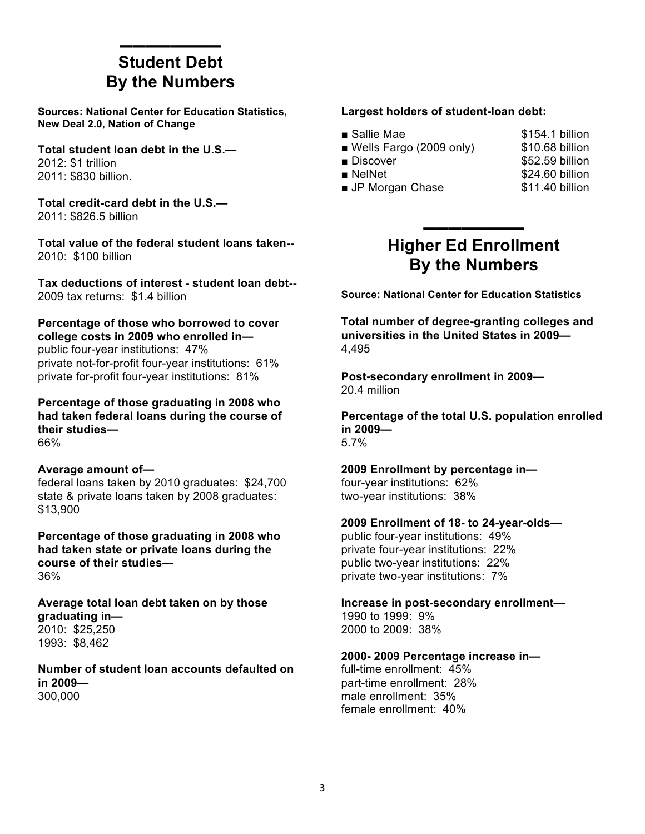### **By the Numbers** ▬▬▬▬▬▬▬▬ **Student Debt**

 **Sources: National Center for Education Statistics, New Deal 2.0, Nation of Change** 

 **Total student loan debt in the U.S.—**  2012: \$1 trillion 2011: \$830 billion.

 **Total credit-card debt in the U.S.—**  2011: \$826.5 billion

 **Total value of the federal student loans taken--** 2010: \$100 billion

 **Tax deductions of interest - student loan debt--** 2009 tax returns: \$1.4 billion

 **Percentage of those who borrowed to cover college costs in 2009 who enrolled in**  public four-year institutions: 47% private not-for-profit four-year institutions: 61% private for-profit four-year institutions: 81%

 **Percentage of those graduating in 2008 who had taken federal loans during the course of their studies—**  66%

### **Average amount of—**

federal loans taken by 2010 graduates: \$24,700 state & private loans taken by 2008 graduates: \$13,900

 **Percentage of those graduating in 2008 who had taken state or private loans during the course of their studies—**  36%

 **Average total loan debt taken on by those graduating in—** 

2010: \$25,250 1993: \$8,462

 **Number of student loan accounts defaulted on in 2009—**  300,000

### **Largest holders of student-loan debt:**

| ■ Sallie Mae                           | \$154.1 billion |
|----------------------------------------|-----------------|
| $\blacksquare$ Wells Fargo (2009 only) | \$10.68 billion |
| ■ Discover                             | \$52.59 billion |
| $\blacksquare$ NelNet                  | \$24.60 billion |
| <b>JP Morgan Chase</b>                 | \$11.40 billion |

### **Higher Ed Enrollment By the Numbers** ▬▬▬▬▬▬▬▬

 **Source: National Center for Education Statistics** 

 **Total number of degree-granting colleges and universities in the United States in 2009—**  4,495

 **Post-secondary enrollment in 2009—**  20.4 million

 **Percentage of the total U.S. population enrolled in 2009—**  5.7%

### **2009 Enrollment by percentage in—**

four-year institutions: 62% two-year institutions: 38%

### **2009 Enrollment of 18- to 24-year-olds—**

public four-year institutions: 49% private four-year institutions: 22% public two-year institutions: 22% private two-year institutions: 7%

**Increase in post-secondary enrollment—**  1990 to 1999: 9% 2000 to 2009: 38%

### **2000- 2009 Percentage increase in—**

full-time enrollment: 45% part-time enrollment: 28% male enrollment: 35% female enrollment: 40%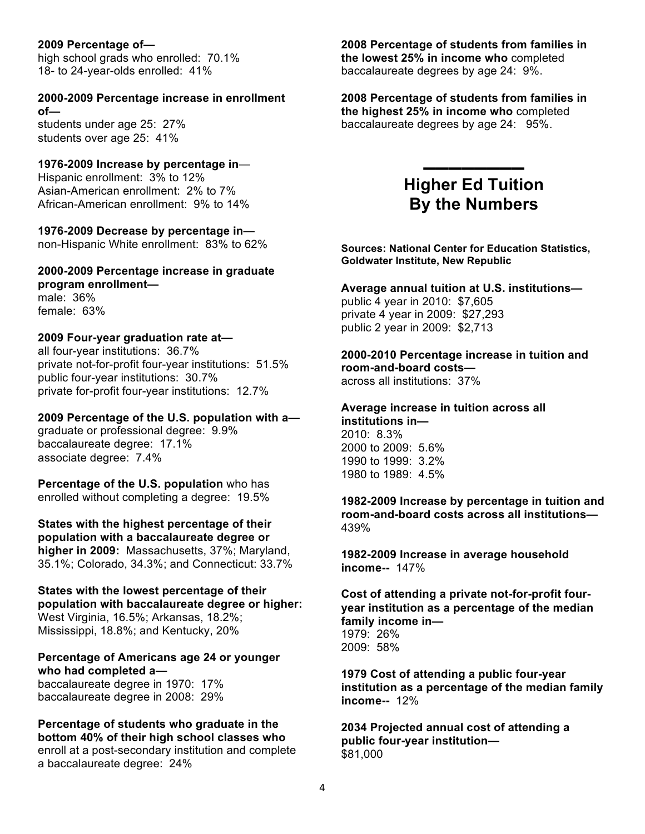### **2009 Percentage of—**

 18- to 24-year-olds enrolled: 41% high school grads who enrolled: 70.1%

#### **2000-2009 Percentage increase in enrollment of—**

 students under age 25: 27% students over age 25: 41%

### **1976-2009 Increase by percentage in**—

Hispanic enrollment: 3% to 12% Asian-American enrollment: 2% to 7% African-American enrollment: 9% to 14%

 **1976-2009 Decrease by percentage in**— non-Hispanic White enrollment: 83% to 62%

### **2000-2009 Percentage increase in graduate program enrollment**  male: 36% female: 63%

### **2009 Four-year graduation rate at—**

all four-year institutions: 36.7% private not-for-profit four-year institutions: 51.5% public four-year institutions: 30.7% private for-profit four-year institutions: 12.7%

 **2009 Percentage of the U.S. population with a**  graduate or professional degree: 9.9% baccalaureate degree: 17.1% associate degree: 7.4%

 **Percentage of the U.S. population** who has enrolled without completing a degree: 19.5%

 **States with the highest percentage of their population with a baccalaureate degree or higher in 2009:** Massachusetts, 37%; Maryland, 35.1%; Colorado, 34.3%; and Connecticut: 33.7%

 **States with the lowest percentage of their population with baccalaureate degree or higher:**  West Virginia, 16.5%; Arkansas, 18.2%; Mississippi, 18.8%; and Kentucky, 20%

### **Percentage of Americans age 24 or younger who had completed a—**

baccalaureate degree in 1970: 17% baccalaureate degree in 2008: 29%

### **Percentage of students who graduate in the bottom 40% of their high school classes who**  enroll at a post-secondary institution and complete a baccalaureate degree: 24%

### **2008 Percentage of students from families in the lowest 25% in income who** completed baccalaureate degrees by age 24: 9%.

 **2008 Percentage of students from families in the highest 25% in income who** completed baccalaureate degrees by age 24: 95%.

### **Higher Ed Tuition By the Numbers**

▬▬▬▬▬▬▬▬

 **Sources: National Center for Education Statistics, Goldwater Institute, New Republic** 

### **Average annual tuition at U.S. institutions—**

 private 4 year in 2009: \$27,293 public 2 year in 2009: \$2,713 public 4 year in 2010: \$7,605

#### **2000-2010 Percentage increase in tuition and room-and-board costs—**

across all institutions: 37%

#### **Average increase in tuition across all institutions in—**

2010: 8.3% 2000 to 2009: 5.6% 1990 to 1999: 3.2% 1980 to 1989: 4.5%

 **1982-2009 Increase by percentage in tuition and room-and-board costs across all institutions—**  439%

 **income--** 147% **1982-2009 Increase in average household** 

### **Cost of attending a private not-for-profit four- family income in year institution as a percentage of the median**  1979: 26%

2009: 58%

 **1979 Cost of attending a public four-year institution as a percentage of the median family income--** 12%

 **2034 Projected annual cost of attending a public four-year institution—**  \$81,000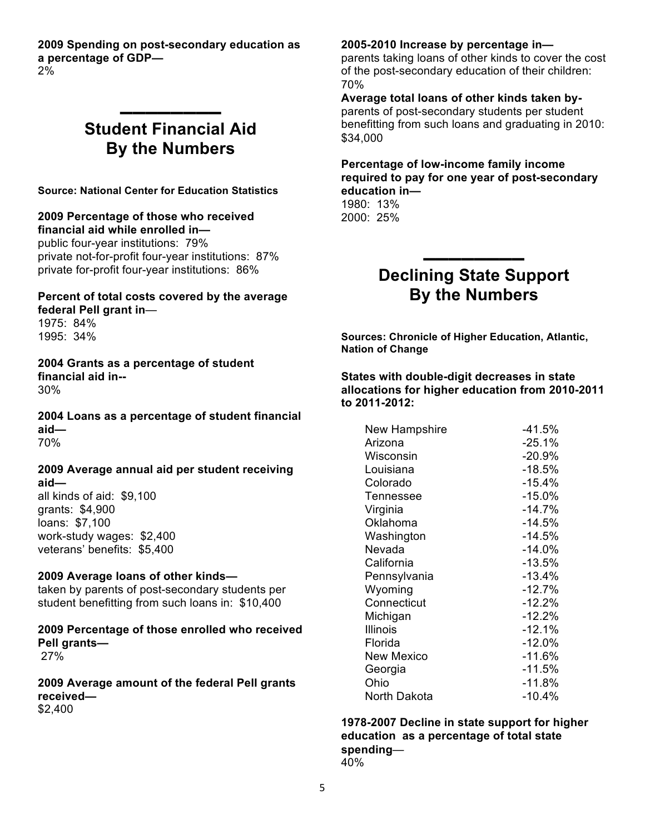**2009 Spending on post-secondary education as a percentage of GDP—**  2%

### **Student Financial Aid By the Numbers**

▬▬▬▬▬▬▬▬

 **Source: National Center for Education Statistics** 

### **2009 Percentage of those who received financial aid while enrolled in—**

public four-year institutions: 79% private not-for-profit four-year institutions: 87% private for-profit four-year institutions: 86%

### **Percent of total costs covered by the average**

 **federal Pell grant in**— 1975: 84% 1995: 34%

 **2004 Grants as a percentage of student financial aid in--** 30%

 **2004 Loans as a percentage of student financial aid—**  70%

### **2009 Average annual aid per student receiving aid—**

 loans: \$7,100 work-study wages: \$2,400 veterans' benefits: \$5,400 all kinds of aid: \$9,100 grants: \$4,900

### **2009 Average loans of other kinds—**

 student benefitting from such loans in: \$10,400 taken by parents of post-secondary students per

 **2009 Percentage of those enrolled who received Pell grants—**  27%

 **2009 Average amount of the federal Pell grants received—**  \$2,400

#### **2005-2010 Increase by percentage in—**

 parents taking loans of other kinds to cover the cost of the post-secondary education of their children: 70%

 **Average total loans of other kinds taken by-** parents of post-secondary students per student benefitting from such loans and graduating in 2010: \$34,000

### **Percentage of low-income family income required to pay for one year of post-secondary education in—**

1980: 13% 2000: 25%

### **Declining State Support By the Numbers**

▬▬▬▬▬▬▬▬

 **Sources: Chronicle of Higher Education, Atlantic, Nation of Change** 

 **States with double-digit decreases in state allocations for higher education from 2010-2011 to 2011-2012:** 

| New Hampshire    | $-41.5%$  |
|------------------|-----------|
| Arizona          | -25.1%    |
| Wisconsin        | $-20.9%$  |
| Louisiana        | $-18.5%$  |
| Colorado         | $-15.4%$  |
| <b>Tennessee</b> | $-15.0\%$ |
| Virginia         | $-14.7\%$ |
| Oklahoma         | $-14.5%$  |
| Washington       | $-14.5%$  |
| Nevada           | $-14.0%$  |
| California       | $-13.5%$  |
| Pennsylvania     | -13.4%    |
| Wyoming          | $-12.7%$  |
| Connecticut      | $-12.2%$  |
| Michigan         | $-12.2%$  |
| Illinois         | $-12.1%$  |
| Florida          | $-12.0%$  |
| New Mexico       | $-11.6%$  |
| Georgia          | -11.5%    |
| Ohio             | -11.8%    |
| North Dakota     | -10.4%    |

 **1978-2007 Decline in state support for higher education as a percentage of total state spending**— 40%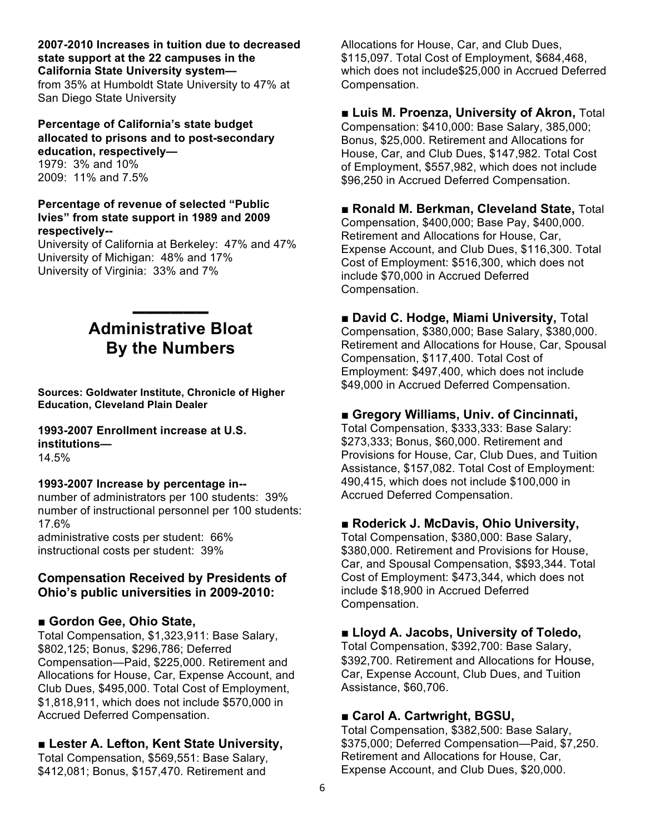### **state support at the 22 campuses in the California State University system— 2007-2010 Increases in tuition due to decreased**

 San Diego State University from 35% at Humboldt State University to 47% at

### **Percentage of California's state budget allocated to prisons and to post-secondary education, respectively—**

1979: 3% and 10% 2009: 11% and 7.5%

### **Percentage of revenue of selected "Public Ivies" from state support in 1989 and 2009 respectively--**

 University of California at Berkeley: 47% and 47% University of Michigan: 48% and 17% University of Virginia: 33% and 7%

### **By the Numbers** ▬▬▬▬▬▬ **Administrative Bloat**

 **Education, Cleveland Plain Dealer Sources: Goldwater Institute, Chronicle of Higher** 

### **1993-2007 Enrollment increase at U.S. institutions—**

14.5%

### **1993-2007 Increase by percentage in--**

 number of administrators per 100 students: 39% number of instructional personnel per 100 students: 17.6%

 administrative costs per student: 66% instructional costs per student: 39%

### **Compensation Received by Presidents of Ohio's public universities in 2009-2010:**

### ■ Gordon Gee, Ohio State,

 Total Compensation, \$1,323,911: Base Salary, \$802,125; Bonus, \$296,786; Deferred Compensation—Paid, \$225,000. Retirement and Allocations for House, Car, Expense Account, and Club Dues, \$495,000. Total Cost of Employment, \$1,818,911, which does not include \$570,000 in Accrued Deferred Compensation.

### ■ Lester A. Lefton, Kent State University,

 Total Compensation, \$569,551: Base Salary, \$412,081; Bonus, \$157,470. Retirement and

Allocations for House, Car, and Club Dues, \$115,097. Total Cost of Employment, \$684,468, which does not include\$25,000 in Accrued Deferred Compensation.

### **■ Luis M. Proenza, University of Akron,** Total

 Compensation: \$410,000: Base Salary, 385,000; Bonus, \$25,000. Retirement and Allocations for House, Car, and Club Dues, \$147,982. Total Cost of Employment, \$557,982, which does not include \$96,250 in Accrued Deferred Compensation.

### ■ **Ronald M. Berkman, Cleveland State, Total**

 Compensation, \$400,000; Base Pay, \$400,000. Retirement and Allocations for House, Car, Expense Account, and Club Dues, \$116,300. Total Cost of Employment: \$516,300, which does not include \$70,000 in Accrued Deferred Compensation.

### ■ David C. Hodge, Miami University, Total

 Compensation, \$380,000; Base Salary, \$380,000. Retirement and Allocations for House, Car, Spousal Employment: \$497,400, which does not include Compensation, \$117,400. Total Cost of \$49,000 in Accrued Deferred Compensation.

### ■ Gregory Williams, Univ. of Cincinnati,

 \$273,333; Bonus, \$60,000. Retirement and Provisions for House, Car, Club Dues, and Tuition Assistance, \$157,082. Total Cost of Employment: 490,415, which does not include \$100,000 in Accrued Deferred Compensation. Total Compensation, \$333,333: Base Salary:

### ■ **Roderick J. McDavis, Ohio University,**

 \$380,000. Retirement and Provisions for House, Car, and Spousal Compensation, \$\$93,344. Total Cost of Employment: \$473,344, which does not include \$18,900 in Accrued Deferred Total Compensation, \$380,000: Base Salary, Compensation.

### ■ Lloyd A. Jacobs, University of Toledo,

 Total Compensation, \$392,700: Base Salary, \$392,700. Retirement and Allocations for House, Car, Expense Account, Club Dues, and Tuition Assistance, \$60,706.

### ■ Carol A. Cartwright, BGSU,

 Total Compensation, \$382,500: Base Salary, \$375,000; Deferred Compensation—Paid, \$7,250. Retirement and Allocations for House, Car, Expense Account, and Club Dues, \$20,000.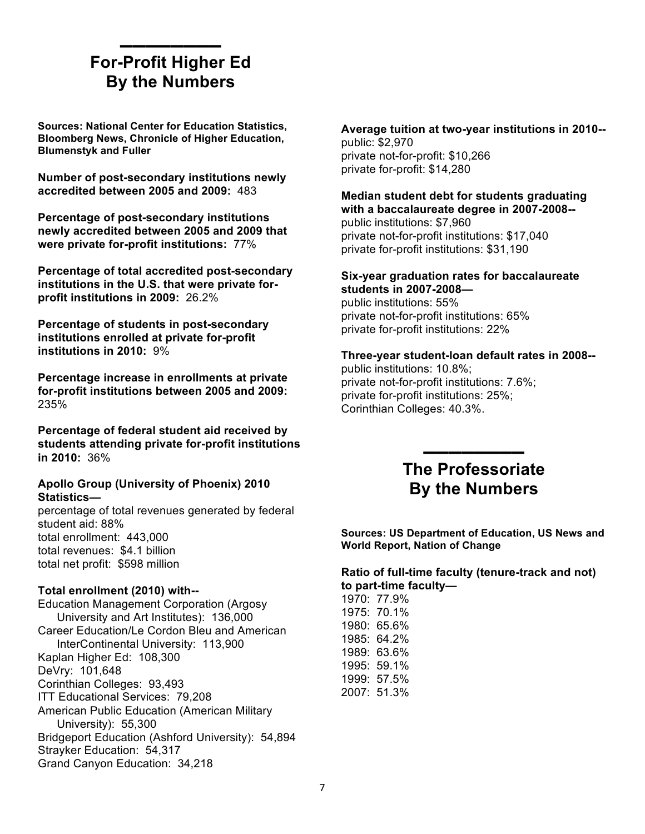### **For-Profit Higher Ed By the Numbers** ▬▬▬▬▬▬▬▬

 **Sources: National Center for Education Statistics, Bloomberg News, Chronicle of Higher Education, Blumenstyk and Fuller** 

 **Number of post-secondary institutions newly accredited between 2005 and 2009:** 483

 **Percentage of post-secondary institutions newly accredited between 2005 and 2009 that were private for-profit institutions:** 77%

 **Percentage of total accredited post-secondary profit institutions in 2009:** 26.2% **institutions in the U.S. that were private for-**

 **Percentage of students in post-secondary institutions enrolled at private for-profit institutions in 2010:** 9%

 **Percentage increase in enrollments at private for-profit institutions between 2005 and 2009:**  235%

 **Percentage of federal student aid received by students attending private for-profit institutions in 2010:** 36%

### **Apollo Group (University of Phoenix) 2010 Statistics—**

 percentage of total revenues generated by federal student aid: 88% total revenues: \$4.1 billion total net profit: \$598 million total enrollment: 443,000

### **Total enrollment (2010) with--**

 Education Management Corporation (Argosy University and Art Institutes): 136,000 Kaplan Higher Ed: 108,300 American Public Education (American Military Bridgeport Education (Ashford University): 54,894 Strayker Education: 54,317 Grand Canyon Education: 34,218 Career Education/Le Cordon Bleu and American InterContinental University: 113,900 DeVry: 101,648 Corinthian Colleges: 93,493 ITT Educational Services: 79,208 University): 55,300

 **Average tuition at two-year institutions in 2010-** public: \$2,970 private not-for-profit: \$10,266 private for-profit: \$14,280

#### **Median student debt for students graduating with a baccalaureate degree in 2007-2008-** public institutions: \$7,960

private not-for-profit institutions: \$17,040 private for-profit institutions: \$31,190

#### **Six-year graduation rates for baccalaureate students in 2007-2008—**

public institutions: 55% private not-for-profit institutions: 65% private for-profit institutions: 22%

### **Three-year student-loan default rates in 2008--**

public institutions: 10.8%; private not-for-profit institutions: 7.6%; private for-profit institutions: 25%; Corinthian Colleges: 40.3%.

### **By the Numbers** ▬▬▬▬▬▬▬▬ **The Professoriate**

 **Sources: US Department of Education, US News and World Report, Nation of Change** 

### **Ratio of full-time faculty (tenure-track and not)**

**to part-time faculty—**  1970: 77.9% 1975: 70.1% 1980: 65.6% 1985: 64.2% 1989: 63.6% 1995: 59.1% 1999: 57.5% 2007: 51.3%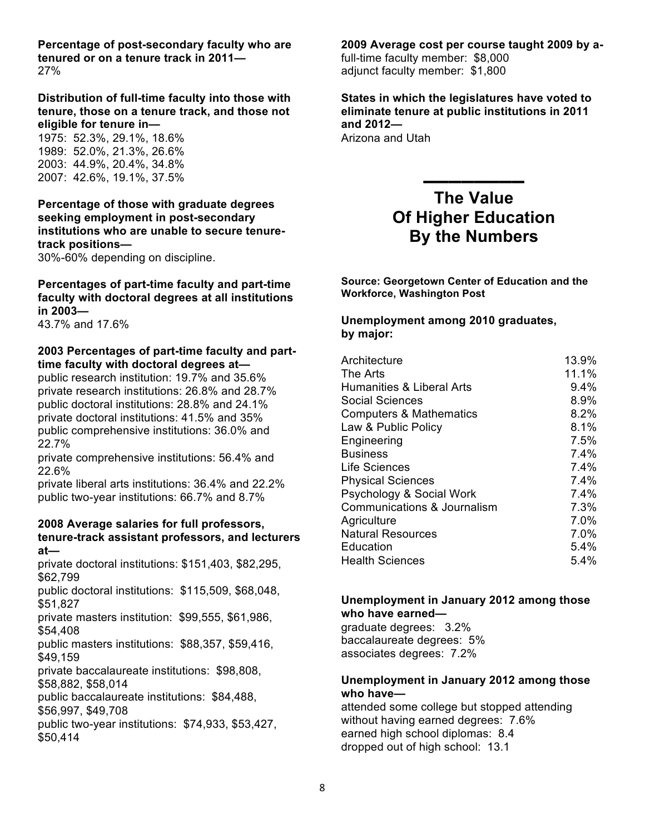**Percentage of post-secondary faculty who are tenured or on a tenure track in 2011—**  27%

 **Distribution of full-time faculty into those with tenure, those on a tenure track, and those not eligible for tenure in—** 

 1975: 52.3%, 29.1%, 18.6% 1989: 52.0%, 21.3%, 26.6% 2003: 44.9%, 20.4%, 34.8% 2007: 42.6%, 19.1%, 37.5%

### **Percentage of those with graduate degrees seeking employment in post-secondary institutions who are unable to secure tenuretrack positions—**

30%-60% depending on discipline.

### **Percentages of part-time faculty and part-time faculty with doctoral degrees at all institutions in 2003—**

43.7% and 17.6%

### **2003 Percentages of part-time faculty and part- time faculty with doctoral degrees at—**

 public doctoral institutions: 28.8% and 24.1% public research institution: 19.7% and 35.6% private research institutions: 26.8% and 28.7% private doctoral institutions: 41.5% and 35% public comprehensive institutions: 36.0% and 22.7%

private comprehensive institutions: 56.4% and 22.6%

 private liberal arts institutions: 36.4% and 22.2% public two-year institutions: 66.7% and 8.7%

#### **2008 Average salaries for full professors, tenure-track assistant professors, and lecturers at—**

 private doctoral institutions: \$151,403, \$82,295, \$62,799

 public doctoral institutions: \$115,509, \$68,048, \$51,827

 private masters institution: \$99,555, \$61,986, \$54,408

 public masters institutions: \$88,357, \$59,416, \$49,159

private baccalaureate institutions: \$98,808, \$58,882, \$58,014

public baccalaureate institutions: \$84,488, \$56,997, \$49,708

 public two-year institutions: \$74,933, \$53,427, \$50,414

### **2009 Average cost per course taught 2009 by a-**

 adjunct faculty member: \$1,800 full-time faculty member: \$8,000

 **States in which the legislatures have voted to**  Arizona and Utah **eliminate tenure at public institutions in 2011 and 2012—** 

### **By the Numbers The Value Of Higher Education**

▬▬▬▬▬▬▬▬

 **Source: Georgetown Center of Education and the Workforce, Washington Post** 

### **Unemployment among 2010 graduates, by major:**

| Architecture                       | 13.9% |
|------------------------------------|-------|
| The Arts                           | 11.1% |
| Humanities & Liberal Arts          | 9.4%  |
| Social Sciences                    | 8.9%  |
| <b>Computers &amp; Mathematics</b> | 8.2%  |
| Law & Public Policy                | 8.1%  |
| Engineering                        | 7.5%  |
| <b>Business</b>                    | 7.4%  |
| Life Sciences                      | 7.4%  |
| <b>Physical Sciences</b>           | 7.4%  |
| Psychology & Social Work           | 7.4%  |
| Communications & Journalism        | 7.3%  |
| Agriculture                        | 7.0%  |
| <b>Natural Resources</b>           | 7.0%  |
| Education                          | 5.4%  |
| <b>Health Sciences</b>             | 5.4%  |
|                                    |       |

### **Unemployment in January 2012 among those who have earned—**

 graduate degrees: 3.2% baccalaureate degrees: 5% associates degrees: 7.2%

### **Unemployment in January 2012 among those who have—**

 without having earned degrees: 7.6% earned high school diplomas: 8.4 dropped out of high school: 13.1 attended some college but stopped attending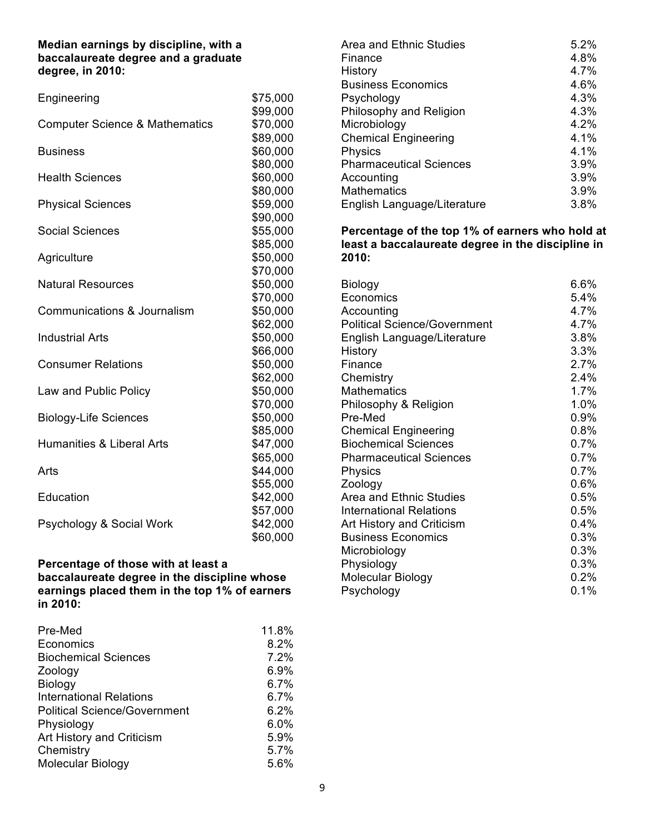### **Median earnings by discipline, with a baccalaureate degree and a graduate degree, in 2010:**

| Engineering                               | \$75,000             |
|-------------------------------------------|----------------------|
|                                           | \$99,000             |
| <b>Computer Science &amp; Mathematics</b> | \$70,000             |
| <b>Business</b>                           | \$89,000<br>\$60,000 |
|                                           | \$80,000             |
| <b>Health Sciences</b>                    | \$60,000             |
|                                           | \$80,000             |
| <b>Physical Sciences</b>                  | \$59,000             |
|                                           | \$90,000             |
| <b>Social Sciences</b>                    | \$55,000             |
|                                           | \$85,000             |
| Agriculture                               | \$50,000             |
|                                           | \$70,000             |
| <b>Natural Resources</b>                  | \$50,000             |
| Communications & Journalism               | \$70,000<br>\$50,000 |
|                                           | \$62,000             |
| <b>Industrial Arts</b>                    | \$50,000             |
|                                           | \$66,000             |
| <b>Consumer Relations</b>                 | \$50,000             |
|                                           | \$62,000             |
| Law and Public Policy                     | \$50,000             |
|                                           | \$70,000             |
| <b>Biology-Life Sciences</b>              | \$50,000             |
|                                           | \$85,000             |
| <b>Humanities &amp; Liberal Arts</b>      | \$47,000             |
|                                           | \$65,000             |
| Arts                                      | \$44,000<br>\$55,000 |
| Education                                 | \$42,000             |
|                                           | \$57,000             |
| Psychology & Social Work                  | \$42,000             |
|                                           | \$60,000             |

### **Percentage of those with at least a baccalaureate degree in the discipline whose earnings placed them in the top 1% of earners in 2010:**

| Pre-Med                             | 11.8% |
|-------------------------------------|-------|
| Economics                           | 8.2%  |
| <b>Biochemical Sciences</b>         | 7.2%  |
| Zoology                             | 6.9%  |
| Biology                             | 6.7%  |
| <b>International Relations</b>      | 6.7%  |
| <b>Political Science/Government</b> | 6.2%  |
| Physiology                          | 6.0%  |
| Art History and Criticism           | 5.9%  |
| Chemistry                           | 5.7%  |
| <b>Molecular Biology</b>            | 5.6%  |

| Area and Ethnic Studies        | 5.2% |
|--------------------------------|------|
| Finance                        | 4.8% |
| History                        | 4.7% |
| <b>Business Economics</b>      | 4.6% |
| Psychology                     | 4.3% |
| Philosophy and Religion        | 4.3% |
| Microbiology                   | 4.2% |
| <b>Chemical Engineering</b>    | 4.1% |
| Physics                        | 4.1% |
| <b>Pharmaceutical Sciences</b> | 3.9% |
| Accounting                     | 3.9% |
| <b>Mathematics</b>             | 3.9% |
| English Language/Literature    | 3.8% |

 **Percentage of the top 1% of earners who hold at least a baccalaureate degree in the discipline in 2010:** 

| Biology                             | 6.6%    |
|-------------------------------------|---------|
| Economics                           | $5.4\%$ |
| Accounting                          | 4.7%    |
| <b>Political Science/Government</b> | 4.7%    |
| English Language/Literature         | 3.8%    |
| History                             | 3.3%    |
| Finance                             | 2.7%    |
| Chemistry                           | 2.4%    |
| <b>Mathematics</b>                  | 1.7%    |
| Philosophy & Religion               | 1.0%    |
| Pre-Med                             | $0.9\%$ |
| <b>Chemical Engineering</b>         | 0.8%    |
| <b>Biochemical Sciences</b>         | 0.7%    |
| <b>Pharmaceutical Sciences</b>      | 0.7%    |
| Physics                             | 0.7%    |
| Zoology                             | 0.6%    |
| Area and Ethnic Studies             | 0.5%    |
| International Relations             | 0.5%    |
| Art History and Criticism           | 0.4%    |
| <b>Business Economics</b>           | 0.3%    |
| Microbiology                        | 0.3%    |
| Physiology                          | 0.3%    |
| Molecular Biology                   | 0.2%    |
| Psychology                          | 0.1%    |